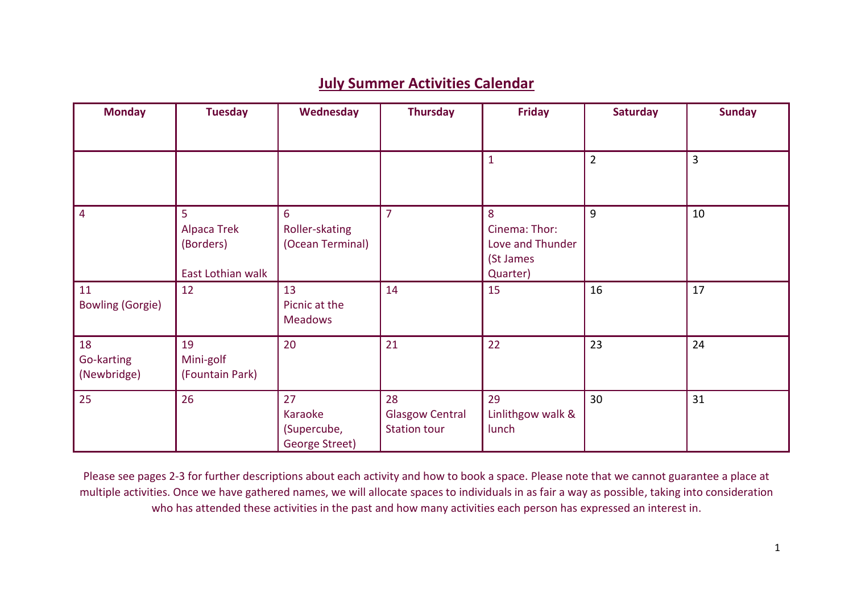## **July Summer Activities Calendar**

| <b>Monday</b>                   | <b>Tuesday</b>                                     | Wednesday                                      | <b>Thursday</b>                                     | <b>Friday</b>                                                   | <b>Saturday</b> | <b>Sunday</b>  |
|---------------------------------|----------------------------------------------------|------------------------------------------------|-----------------------------------------------------|-----------------------------------------------------------------|-----------------|----------------|
|                                 |                                                    |                                                |                                                     | $\mathbf{1}$                                                    | $\overline{2}$  | $\overline{3}$ |
| $\overline{4}$                  | 5<br>Alpaca Trek<br>(Borders)<br>East Lothian walk | 6<br>Roller-skating<br>(Ocean Terminal)        | $\overline{7}$                                      | 8<br>Cinema: Thor:<br>Love and Thunder<br>(St James<br>Quarter) | 9               | 10             |
| 11<br><b>Bowling (Gorgie)</b>   | 12                                                 | 13<br>Picnic at the<br><b>Meadows</b>          | 14                                                  | 15                                                              | 16              | 17             |
| 18<br>Go-karting<br>(Newbridge) | 19<br>Mini-golf<br>(Fountain Park)                 | 20                                             | 21                                                  | 22                                                              | 23              | 24             |
| 25                              | 26                                                 | 27<br>Karaoke<br>(Supercube,<br>George Street) | 28<br><b>Glasgow Central</b><br><b>Station tour</b> | 29<br>Linlithgow walk &<br>lunch                                | 30              | 31             |

Please see pages 2-3 for further descriptions about each activity and how to book a space. Please note that we cannot guarantee a place at multiple activities. Once we have gathered names, we will allocate spaces to individuals in as fair a way as possible, taking into consideration who has attended these activities in the past and how many activities each person has expressed an interest in.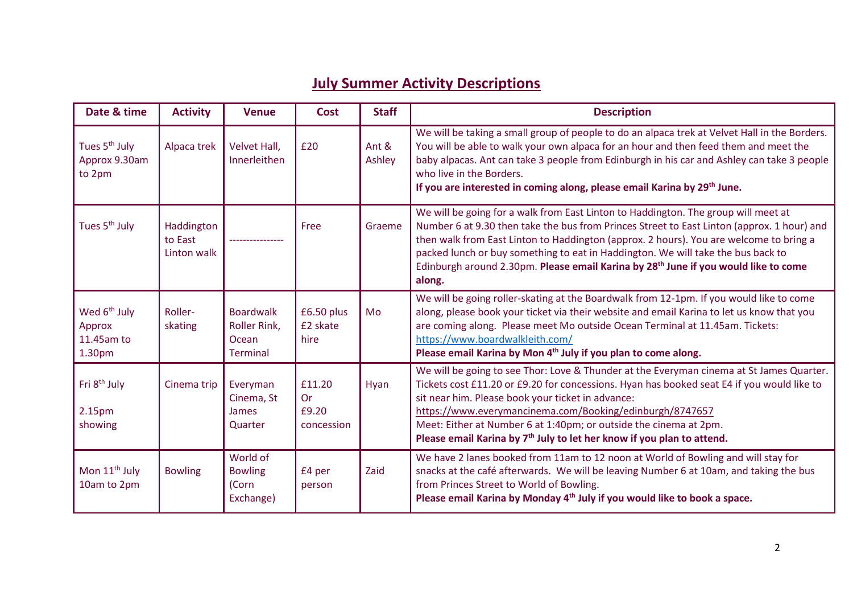## **July Summer Activity Descriptions**

| Date & time                                                | <b>Activity</b>                      | <b>Venue</b>                                          | <b>Cost</b>                                | <b>Staff</b>    | <b>Description</b>                                                                                                                                                                                                                                                                                                                                                                                                                                                          |
|------------------------------------------------------------|--------------------------------------|-------------------------------------------------------|--------------------------------------------|-----------------|-----------------------------------------------------------------------------------------------------------------------------------------------------------------------------------------------------------------------------------------------------------------------------------------------------------------------------------------------------------------------------------------------------------------------------------------------------------------------------|
| Tues 5 <sup>th</sup> July<br>Approx 9.30am<br>to 2pm       | Alpaca trek                          | Velvet Hall,<br>Innerleithen                          | £20                                        | Ant &<br>Ashley | We will be taking a small group of people to do an alpaca trek at Velvet Hall in the Borders.<br>You will be able to walk your own alpaca for an hour and then feed them and meet the<br>baby alpacas. Ant can take 3 people from Edinburgh in his car and Ashley can take 3 people<br>who live in the Borders.<br>If you are interested in coming along, please email Karina by 29 <sup>th</sup> June.                                                                     |
| Tues 5 <sup>th</sup> July                                  | Haddington<br>to East<br>Linton walk |                                                       | Free                                       | Graeme          | We will be going for a walk from East Linton to Haddington. The group will meet at<br>Number 6 at 9.30 then take the bus from Princes Street to East Linton (approx. 1 hour) and<br>then walk from East Linton to Haddington (approx. 2 hours). You are welcome to bring a<br>packed lunch or buy something to eat in Haddington. We will take the bus back to<br>Edinburgh around 2.30pm. Please email Karina by 28 <sup>th</sup> June if you would like to come<br>along. |
| Wed 6 <sup>th</sup> July<br>Approx<br>11.45am to<br>1.30pm | Roller-<br>skating                   | <b>Boardwalk</b><br>Roller Rink,<br>Ocean<br>Terminal | £6.50 plus<br>£2 skate<br>hire             | Mo              | We will be going roller-skating at the Boardwalk from 12-1pm. If you would like to come<br>along, please book your ticket via their website and email Karina to let us know that you<br>are coming along. Please meet Mo outside Ocean Terminal at 11.45am. Tickets:<br>https://www.boardwalkleith.com/<br>Please email Karina by Mon 4 <sup>th</sup> July if you plan to come along.                                                                                       |
| Fri 8 <sup>th</sup> July<br>2.15 <sub>pm</sub><br>showing  | Cinema trip                          | Everyman<br>Cinema, St<br><b>James</b><br>Quarter     | £11.20<br><b>Or</b><br>£9.20<br>concession | Hyan            | We will be going to see Thor: Love & Thunder at the Everyman cinema at St James Quarter.<br>Tickets cost £11.20 or £9.20 for concessions. Hyan has booked seat E4 if you would like to<br>sit near him. Please book your ticket in advance:<br>https://www.everymancinema.com/Booking/edinburgh/8747657<br>Meet: Either at Number 6 at 1:40pm; or outside the cinema at 2pm.<br>Please email Karina by 7 <sup>th</sup> July to let her know if you plan to attend.          |
| Mon 11 <sup>th</sup> July<br>10am to 2pm                   | <b>Bowling</b>                       | World of<br><b>Bowling</b><br>(Corn<br>Exchange)      | £4 per<br>person                           | Zaid            | We have 2 lanes booked from 11am to 12 noon at World of Bowling and will stay for<br>snacks at the café afterwards. We will be leaving Number 6 at 10am, and taking the bus<br>from Princes Street to World of Bowling.<br>Please email Karina by Monday 4 <sup>th</sup> July if you would like to book a space.                                                                                                                                                            |